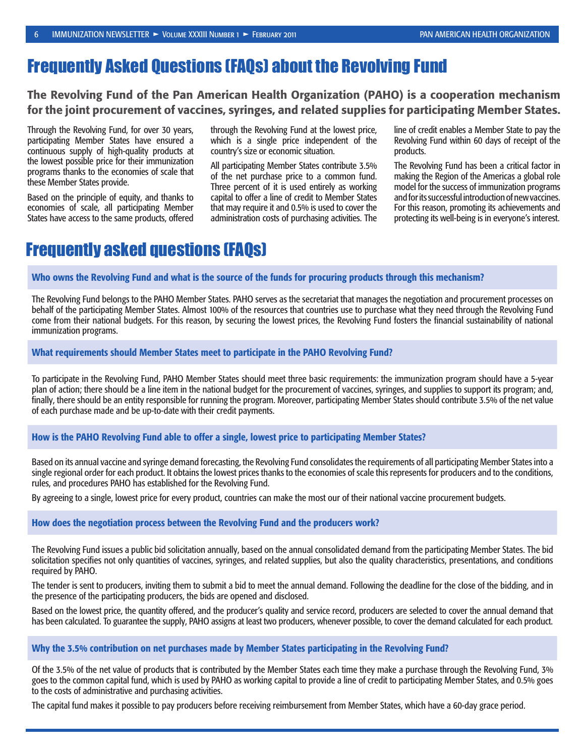## Frequently Asked Questions (FAQs) about the Revolving Fund

The Revolving Fund of the Pan American Health Organization (PAHO) is a cooperation mechanism for the joint procurement of vaccines, syringes, and related supplies for participating Member States.

Through the Revolving Fund, for over 30 years, participating Member States have ensured a continuous supply of high-quality products at the lowest possible price for their immunization programs thanks to the economies of scale that these Member States provide.

Based on the principle of equity, and thanks to economies of scale, all participating Member States have access to the same products, offered through the Revolving Fund at the lowest price, which is a single price independent of the country's size or economic situation.

All participating Member States contribute 3.5% of the net purchase price to a common fund. Three percent of it is used entirely as working capital to offer a line of credit to Member States that may require it and 0.5% is used to cover the administration costs of purchasing activities. The line of credit enables a Member State to pay the Revolving Fund within 60 days of receipt of the products.

The Revolving Fund has been a critical factor in making the Region of the Americas a global role model for the success of immunization programs and for its successful introduction of new vaccines. For this reason, promoting its achievements and protecting its well-being is in everyone's interest.

## Frequently asked questions (FAQs)

### Who owns the Revolving Fund and what is the source of the funds for procuring products through this mechanism?

The Revolving Fund belongs to the PAHO Member States. PAHO serves as the secretariat that manages the negotiation and procurement processes on behalf of the participating Member States. Almost 100% of the resources that countries use to purchase what they need through the Revolving Fund come from their national budgets. For this reason, by securing the lowest prices, the Revolving Fund fosters the financial sustainability of national immunization programs.

#### What requirements should Member States meet to participate in the PAHO Revolving Fund?

To participate in the Revolving Fund, PAHO Member States should meet three basic requirements: the immunization program should have a 5-year plan of action; there should be a line item in the national budget for the procurement of vaccines, syringes, and supplies to support its program; and, finally, there should be an entity responsible for running the program. Moreover, participating Member States should contribute 3.5% of the net value of each purchase made and be up-to-date with their credit payments.

#### How is the PAHO Revolving Fund able to offer a single, lowest price to participating Member States?

Based on its annual vaccine and syringe demand forecasting, the Revolving Fund consolidates the requirements of all participating Member States into a single regional order for each product. It obtains the lowest prices thanks to the economies of scale this represents for producers and to the conditions, rules, and procedures PAHO has established for the Revolving Fund.

By agreeing to a single, lowest price for every product, countries can make the most our of their national vaccine procurement budgets.

#### How does the negotiation process between the Revolving Fund and the producers work?

The Revolving Fund issues a public bid solicitation annually, based on the annual consolidated demand from the participating Member States. The bid solicitation specifies not only quantities of vaccines, syringes, and related supplies, but also the quality characteristics, presentations, and conditions required by PAHO.

The tender is sent to producers, inviting them to submit a bid to meet the annual demand. Following the deadline for the close of the bidding, and in the presence of the participating producers, the bids are opened and disclosed.

Based on the lowest price, the quantity offered, and the producer's quality and service record, producers are selected to cover the annual demand that has been calculated. To guarantee the supply, PAHO assigns at least two producers, whenever possible, to cover the demand calculated for each product.

#### Why the 3.5% contribution on net purchases made by Member States participating in the Revolving Fund?

Of the 3.5% of the net value of products that is contributed by the Member States each time they make a purchase through the Revolving Fund, 3% goes to the common capital fund, which is used by PAHO as working capital to provide a line of credit to participating Member States, and 0.5% goes to the costs of administrative and purchasing activities.

The capital fund makes it possible to pay producers before receiving reimbursement from Member States, which have a 60-day grace period.